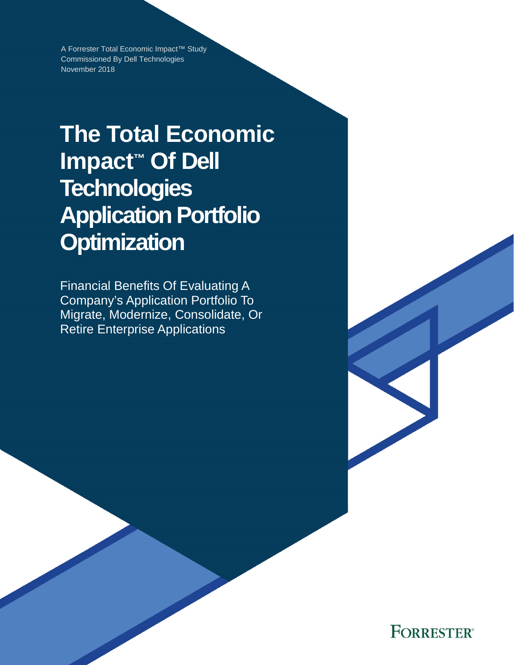A Forrester Total Economic Impact™ Study Commissioned By Dell Technologies November 2018

# **The Total Economic Impact™ Of Dell Technologies Application Portfolio Optimization**

Financial Benefits Of Evaluating A Company's Application Portfolio To Migrate, Modernize, Consolidate, Or Retire Enterprise Applications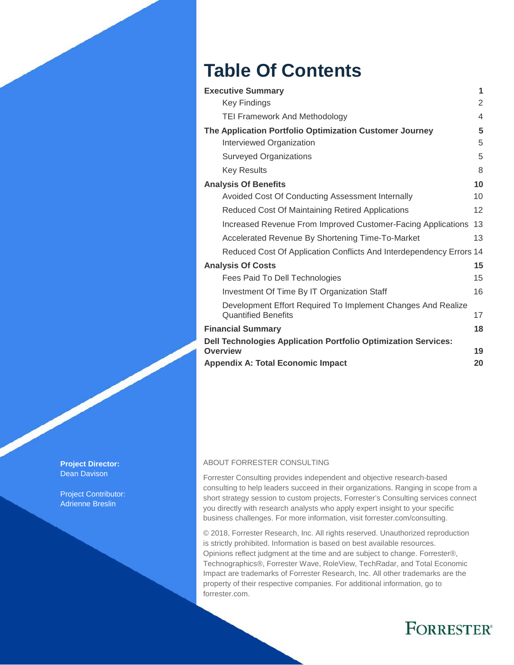## **Table Of Contents**

| <b>Executive Summary</b>                                                                                                             | 1              |
|--------------------------------------------------------------------------------------------------------------------------------------|----------------|
| <b>Key Findings</b>                                                                                                                  | 2              |
| <b>TEI Framework And Methodology</b>                                                                                                 | $\overline{4}$ |
| The Application Portfolio Optimization Customer Journey                                                                              | 5              |
| Interviewed Organization                                                                                                             | 5              |
| <b>Surveyed Organizations</b>                                                                                                        | 5              |
| <b>Key Results</b>                                                                                                                   | 8              |
| <b>Analysis Of Benefits</b>                                                                                                          | 10             |
| Avoided Cost Of Conducting Assessment Internally                                                                                     | 10             |
| <b>Reduced Cost Of Maintaining Retired Applications</b>                                                                              | 12             |
| Increased Revenue From Improved Customer-Facing Applications                                                                         | 13             |
| Accelerated Revenue By Shortening Time-To-Market                                                                                     | 13             |
| Reduced Cost Of Application Conflicts And Interdependency Errors 14                                                                  |                |
| <b>Analysis Of Costs</b>                                                                                                             | 15             |
| Fees Paid To Dell Technologies                                                                                                       | 15             |
| Investment Of Time By IT Organization Staff                                                                                          | 16             |
| Development Effort Required To Implement Changes And Realize<br><b>Quantified Benefits</b>                                           | 17             |
| <b>Financial Summary</b>                                                                                                             | 18             |
| <b>Dell Technologies Application Portfolio Optimization Services:</b><br><b>Overview</b><br><b>Appendix A: Total Economic Impact</b> | 19<br>20       |
|                                                                                                                                      |                |

#### **Project Director:** Dean Davison

Project Contributor: Adrienne Breslin

#### ABOUT FORRESTER CONSULTING

Forrester Consulting provides independent and objective research-based consulting to help leaders succeed in their organizations. Ranging in scope from a short strategy session to custom projects, Forrester's Consulting services connect you directly with research analysts who apply expert insight to your specific business challenges. For more information, visit forrester.com/consulting.

© 2018, Forrester Research, Inc. All rights reserved. Unauthorized reproduction is strictly prohibited. Information is based on best available resources. Opinions reflect judgment at the time and are subject to change. Forrester®, Technographics®, Forrester Wave, RoleView, TechRadar, and Total Economic Impact are trademarks of Forrester Research, Inc. All other trademarks are the property of their respective companies. For additional information, go to forrester.com.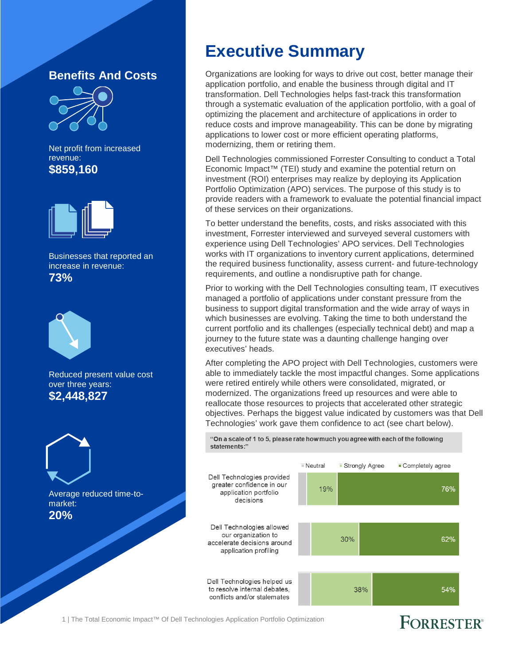### **Benefits And Costs**



Net profit from increased revenue: **\$859,160**



Businesses that reported an increase in revenue: **73%**



Reduced present value cost over three years: **\$2,448,827**



Average reduced time-tomarket: **20%**

## **Executive Summary**

Organizations are looking for ways to drive out cost, better manage their application portfolio, and enable the business through digital and IT transformation. Dell Technologies helps fast-track this transformation through a systematic evaluation of the application portfolio, with a goal of optimizing the placement and architecture of applications in order to reduce costs and improve manageability. This can be done by migrating applications to lower cost or more efficient operating platforms, modernizing, them or retiring them.

Dell Technologies commissioned Forrester Consulting to conduct a Total Economic Impact™ (TEI) study and examine the potential return on investment (ROI) enterprises may realize by deploying its Application Portfolio Optimization (APO) services. The purpose of this study is to provide readers with a framework to evaluate the potential financial impact of these services on their organizations.

To better understand the benefits, costs, and risks associated with this investment, Forrester interviewed and surveyed several customers with experience using Dell Technologies' APO services. Dell Technologies works with IT organizations to inventory current applications, determined the required business functionality, assess current- and future-technology requirements, and outline a nondisruptive path for change.

Prior to working with the Dell Technologies consulting team, IT executives managed a portfolio of applications under constant pressure from the business to support digital transformation and the wide array of ways in which businesses are evolving. Taking the time to both understand the current portfolio and its challenges (especially technical debt) and map a journey to the future state was a daunting challenge hanging over executives' heads.

After completing the APO project with Dell Technologies, customers were able to immediately tackle the most impactful changes. Some applications were retired entirely while others were consolidated, migrated, or modernized. The organizations freed up resources and were able to reallocate those resources to projects that accelerated other strategic objectives. Perhaps the biggest value indicated by customers was that Dell Technologies' work gave them confidence to act (see chart below).

"On a scale of 1 to 5, please rate how much you agree with each of the following statements:"



1 | The Total Economic Impact™ Of Dell Technologies Application Portfolio Optimization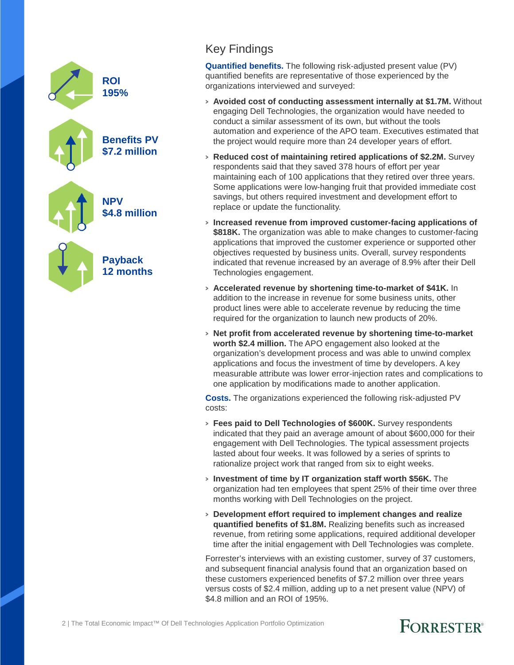

### Key Findings

**Quantified benefits.** The following risk-adjusted present value (PV) quantified benefits are representative of those experienced by the organizations interviewed and surveyed:

- › **Avoided cost of conducting assessment internally at \$1.7M.** Without engaging Dell Technologies, the organization would have needed to conduct a similar assessment of its own, but without the tools automation and experience of the APO team. Executives estimated that the project would require more than 24 developer years of effort.
- › **Reduced cost of maintaining retired applications of \$2.2M.** Survey respondents said that they saved 378 hours of effort per year maintaining each of 100 applications that they retired over three years. Some applications were low-hanging fruit that provided immediate cost savings, but others required investment and development effort to replace or update the functionality.
- › **Increased revenue from improved customer-facing applications of \$818K.** The organization was able to make changes to customer-facing applications that improved the customer experience or supported other objectives requested by business units. Overall, survey respondents indicated that revenue increased by an average of 8.9% after their Dell Technologies engagement.
- › **Accelerated revenue by shortening time-to-market of \$41K.** In addition to the increase in revenue for some business units, other product lines were able to accelerate revenue by reducing the time required for the organization to launch new products of 20%.
- › **Net profit from accelerated revenue by shortening time-to-market worth \$2.4 million.** The APO engagement also looked at the organization's development process and was able to unwind complex applications and focus the investment of time by developers. A key measurable attribute was lower error-injection rates and complications to one application by modifications made to another application.

**Costs.** The organizations experienced the following risk-adjusted PV costs:

- › **Fees paid to Dell Technologies of \$600K.** Survey respondents indicated that they paid an average amount of about \$600,000 for their engagement with Dell Technologies. The typical assessment projects lasted about four weeks. It was followed by a series of sprints to rationalize project work that ranged from six to eight weeks.
- › **Investment of time by IT organization staff worth \$56K.** The organization had ten employees that spent 25% of their time over three months working with Dell Technologies on the project.
- › **Development effort required to implement changes and realize quantified benefits of \$1.8M.** Realizing benefits such as increased revenue, from retiring some applications, required additional developer time after the initial engagement with Dell Technologies was complete.

Forrester's interviews with an existing customer, survey of 37 customers, and subsequent financial analysis found that an organization based on these customers experienced benefits of \$7.2 million over three years versus costs of \$2.4 million, adding up to a net present value (NPV) of \$4.8 million and an ROI of 195%.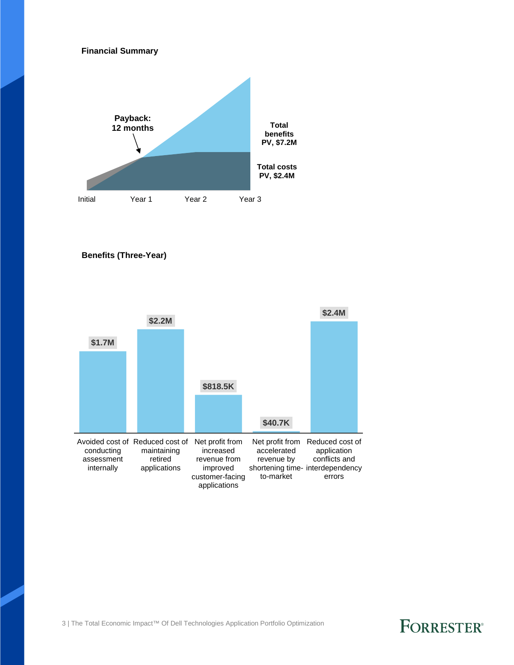



**Benefits (Three-Year)**

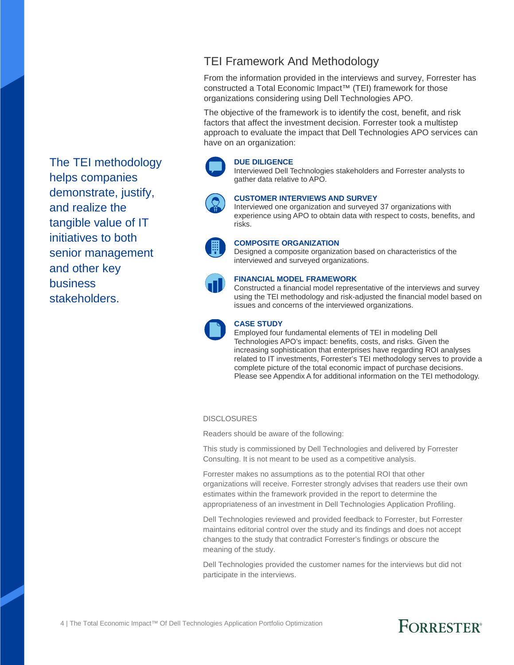The TEI methodology helps companies demonstrate, justify, and realize the tangible value of IT initiatives to both senior management and other key business stakeholders.

### TEI Framework And Methodology

From the information provided in the interviews and survey, Forrester has constructed a Total Economic Impact™ (TEI) framework for those organizations considering using Dell Technologies APO.

The objective of the framework is to identify the cost, benefit, and risk factors that affect the investment decision. Forrester took a multistep approach to evaluate the impact that Dell Technologies APO services can have on an organization:

#### **DUE DILIGENCE**

Interviewed Dell Technologies stakeholders and Forrester analysts to gather data relative to APO.



#### **CUSTOMER INTERVIEWS AND SURVEY**

Interviewed one organization and surveyed 37 organizations with experience using APO to obtain data with respect to costs, benefits, and risks.



#### **COMPOSITE ORGANIZATION**

Designed a composite organization based on characteristics of the interviewed and surveyed organizations.



#### **FINANCIAL MODEL FRAMEWORK**

Constructed a financial model representative of the interviews and survey using the TEI methodology and risk-adjusted the financial model based on issues and concerns of the interviewed organizations.



#### **CASE STUDY**

Employed four fundamental elements of TEI in modeling Dell Technologies APO's impact: benefits, costs, and risks. Given the increasing sophistication that enterprises have regarding ROI analyses related to IT investments, Forrester's TEI methodology serves to provide a complete picture of the total economic impact of purchase decisions. Please see Appendix A for additional information on the TEI methodology.

#### **DISCLOSURES**

Readers should be aware of the following:

This study is commissioned by Dell Technologies and delivered by Forrester Consulting. It is not meant to be used as a competitive analysis.

Forrester makes no assumptions as to the potential ROI that other organizations will receive. Forrester strongly advises that readers use their own estimates within the framework provided in the report to determine the appropriateness of an investment in Dell Technologies Application Profiling.

Dell Technologies reviewed and provided feedback to Forrester, but Forrester maintains editorial control over the study and its findings and does not accept changes to the study that contradict Forrester's findings or obscure the meaning of the study.

Dell Technologies provided the customer names for the interviews but did not participate in the interviews.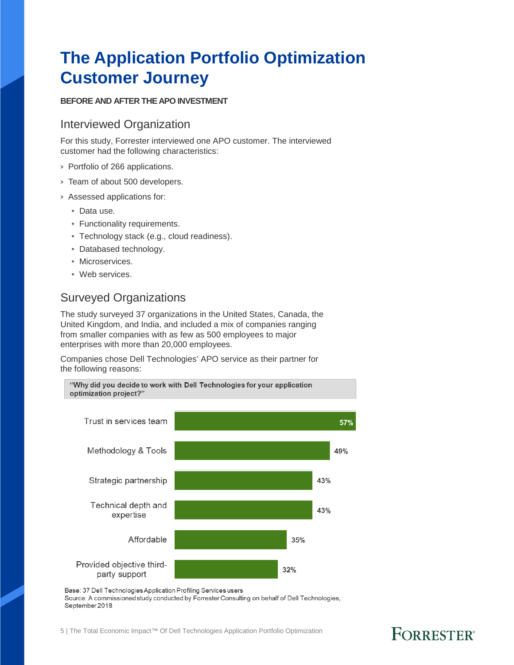## **The Application Portfolio Optimization Customer Journey**

#### **BEFORE AND AFTER THE APO INVESTMENT**

#### Interviewed Organization

For this study, Forrester interviewed one APO customer. The interviewed customer had the following characteristics:

- › Portfolio of 266 applications.
- › Team of about 500 developers.
- › Assessed applications for:
	- Data use.
	- Functionality requirements.
	- Technology stack (e.g., cloud readiness).
	- Databased technology.
	- Microservices.
	- Web services.

### Surveyed Organizations

The study surveyed 37 organizations in the United States, Canada, the United Kingdom, and India, and included a mix of companies ranging from smaller companies with as few as 500 employees to major enterprises with more than 20,000 employees.

Companies chose Dell Technologies' APO service as their partner for the following reasons:





Base: 37 Dell Technologies Application Profiling Services users Source: A commissioned study conducted by Forrester Consulting on behalf of Dell Technologies, September 2018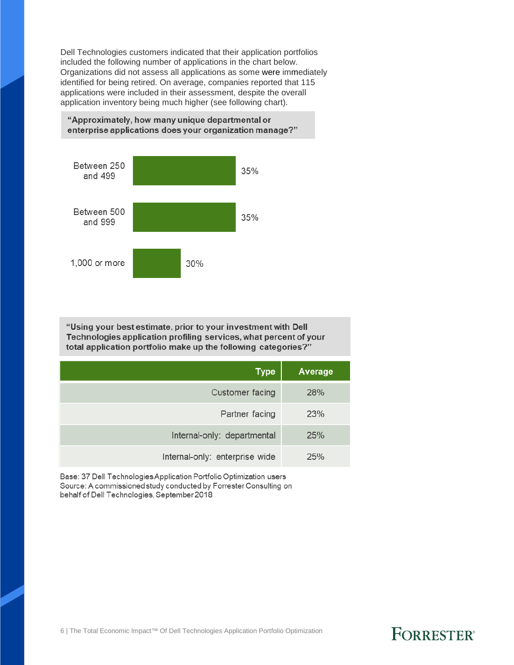Dell Technologies customers indicated that their application portfolios included the following number of applications in the chart below. Organizations did not assess all applications as some were immediately identified for being retired. On average, companies reported that 115 applications were included in their assessment, despite the overall application inventory being much higher (see following chart).

"Approximately, how many unique departmental or enterprise applications does your organization manage?"



"Using your best estimate, prior to your investment with Dell Technologies application profiling services, what percent of your total application portfolio make up the following categories?"

| <b>Type</b>                    | Average |
|--------------------------------|---------|
| Customer facing                | 28%     |
| Partner facing                 | 23%     |
| Internal-only: departmental    | 25%     |
| Internal-only: enterprise wide | 25%     |

Base: 37 Dell Technologies Application Portfolio Optimization users Source: A commissioned study conducted by Forrester Consulting on behalf of Dell Technologies, September 2018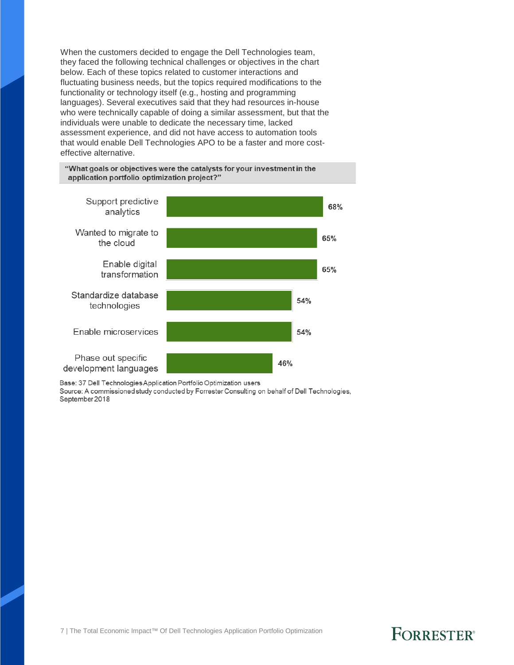When the customers decided to engage the Dell Technologies team, they faced the following technical challenges or objectives in the chart below. Each of these topics related to customer interactions and fluctuating business needs, but the topics required modifications to the functionality or technology itself (e.g., hosting and programming languages). Several executives said that they had resources in-house who were technically capable of doing a similar assessment, but that the individuals were unable to dedicate the necessary time, lacked assessment experience, and did not have access to automation tools that would enable Dell Technologies APO to be a faster and more costeffective alternative.

"What goals or objectives were the catalysts for your investment in the application portfolio optimization project?"



Base: 37 Dell Technologies Application Portfolio Optimization users

Source: A commissioned study conducted by Forrester Consulting on behalf of Dell Technologies, September 2018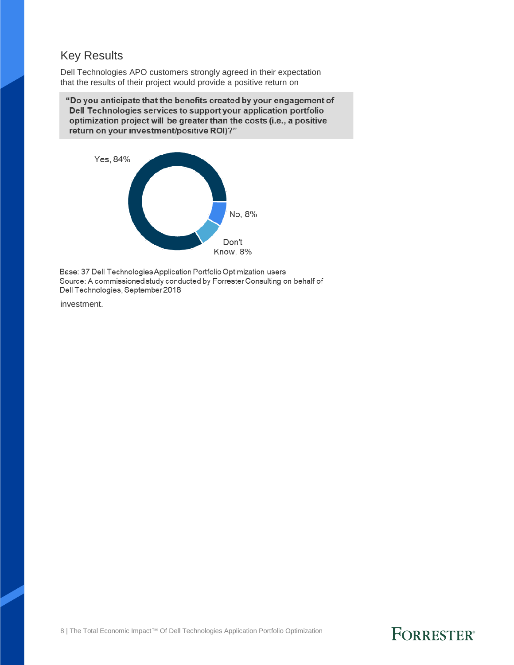### Key Results

Dell Technologies APO customers strongly agreed in their expectation that the results of their project would provide a positive return on

"Do you anticipate that the benefits created by your engagement of Dell Technologies services to support your application portfolio optimization project will be greater than the costs (i.e., a positive return on your investment/positive ROI)?"



Base: 37 Dell Technologies Application Portfolio Optimization users Source: A commissioned study conducted by Forrester Consulting on behalf of Dell Technologies, September 2018

investment.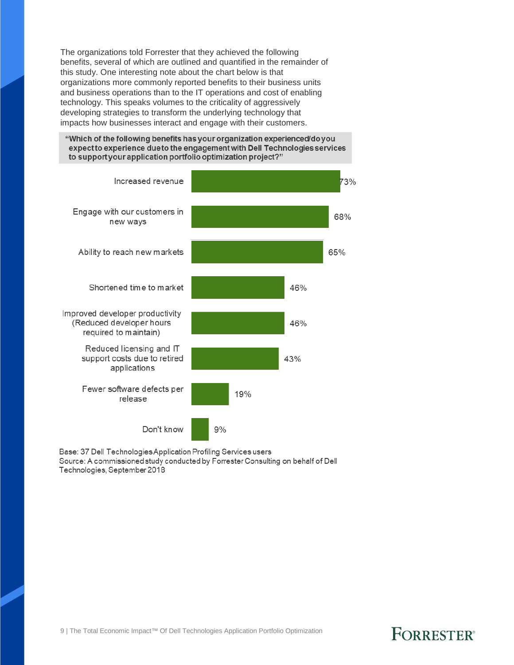The organizations told Forrester that they achieved the following benefits, several of which are outlined and quantified in the remainder of this study. One interesting note about the chart below is that organizations more commonly reported benefits to their business units and business operations than to the IT operations and cost of enabling technology. This speaks volumes to the criticality of aggressively developing strategies to transform the underlying technology that impacts how businesses interact and engage with their customers.





Base: 37 Dell Technologies Application Profiling Services users Source: A commissioned study conducted by Forrester Consulting on behalf of Dell Technologies, September 2018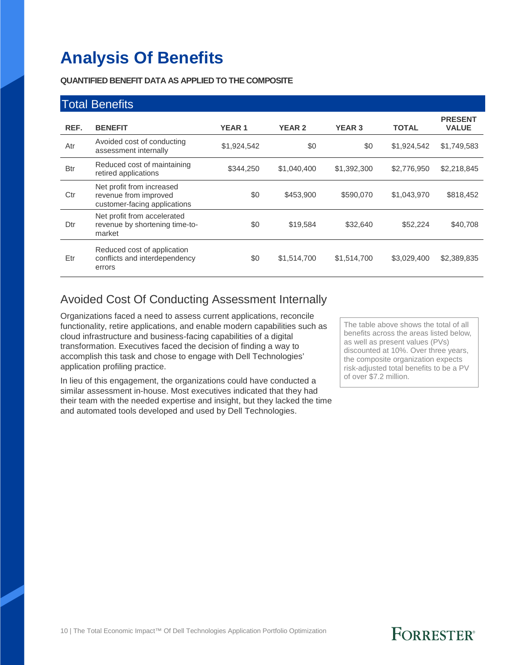## **Analysis Of Benefits**

**QUANTIFIED BENEFIT DATA AS APPLIED TO THE COMPOSITE**

| <b>Total Benefits</b> |                                                                                    |              |               |               |              |                                |  |  |
|-----------------------|------------------------------------------------------------------------------------|--------------|---------------|---------------|--------------|--------------------------------|--|--|
| REF.                  | <b>BENEFIT</b>                                                                     | <b>YEAR1</b> | <b>YEAR 2</b> | <b>YEAR 3</b> | <b>TOTAL</b> | <b>PRESENT</b><br><b>VALUE</b> |  |  |
| Atr                   | Avoided cost of conducting<br>assessment internally                                | \$1,924,542  | \$0           | \$0           | \$1,924,542  | \$1,749,583                    |  |  |
| <b>Btr</b>            | Reduced cost of maintaining<br>retired applications                                | \$344,250    | \$1,040,400   | \$1,392,300   | \$2,776,950  | \$2,218,845                    |  |  |
| Ctr                   | Net profit from increased<br>revenue from improved<br>customer-facing applications | \$0          | \$453,900     | \$590,070     | \$1,043,970  | \$818,452                      |  |  |
| Dtr                   | Net profit from accelerated<br>revenue by shortening time-to-<br>market            | \$0          | \$19,584      | \$32,640      | \$52,224     | \$40,708                       |  |  |
| Etr                   | Reduced cost of application<br>conflicts and interdependency<br>errors             | \$0          | \$1,514,700   | \$1,514,700   | \$3,029,400  | \$2,389,835                    |  |  |

### Avoided Cost Of Conducting Assessment Internally

Organizations faced a need to assess current applications, reconcile functionality, retire applications, and enable modern capabilities such as cloud infrastructure and business-facing capabilities of a digital transformation. Executives faced the decision of finding a way to accomplish this task and chose to engage with Dell Technologies' application profiling practice.

In lieu of this engagement, the organizations could have conducted a similar assessment in-house. Most executives indicated that they had their team with the needed expertise and insight, but they lacked the time and automated tools developed and used by Dell Technologies.

The table above shows the total of all benefits across the areas listed below, as well as present values (PVs) discounted at 10%. Over three years, the composite organization expects risk-adjusted total benefits to be a PV of over \$7.2 million.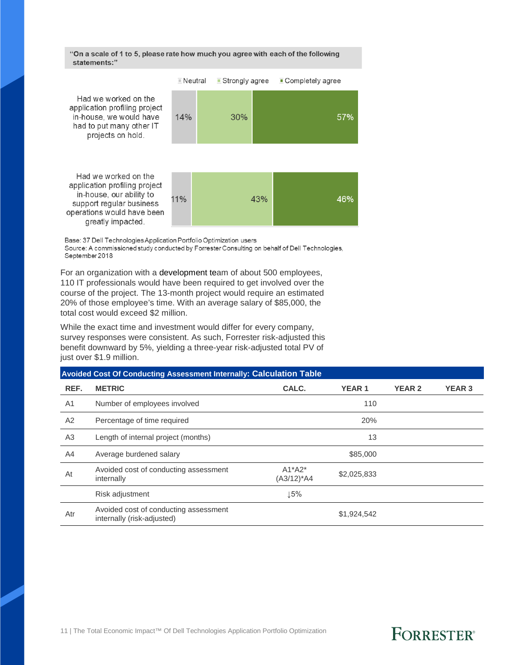

"On a scale of 1 to 5, please rate how much you agree with each of the following

Source: A commissioned study conducted by Forrester Consulting on behalf of Dell Technologies, September 2018

For an organization with a development team of about 500 employees, 110 IT professionals would have been required to get involved over the course of the project. The 13-month project would require an estimated 20% of those employee's time. With an average salary of \$85,000, the total cost would exceed \$2 million.

While the exact time and investment would differ for every company, survey responses were consistent. As such, Forrester risk-adjusted this benefit downward by 5%, yielding a three-year risk-adjusted total PV of just over \$1.9 million.

| <b>Avoided Cost Of Conducting Assessment Internally: Calculation Table</b> |                                                                     |                             |              |               |               |  |  |  |  |
|----------------------------------------------------------------------------|---------------------------------------------------------------------|-----------------------------|--------------|---------------|---------------|--|--|--|--|
| REF.                                                                       | <b>METRIC</b>                                                       | CALC.                       | <b>YEAR1</b> | <b>YEAR 2</b> | <b>YEAR 3</b> |  |  |  |  |
| A <sub>1</sub>                                                             | Number of employees involved                                        |                             | 110          |               |               |  |  |  |  |
| A2                                                                         | Percentage of time required                                         |                             | 20%          |               |               |  |  |  |  |
| A3                                                                         | Length of internal project (months)                                 |                             | 13           |               |               |  |  |  |  |
| A4                                                                         | Average burdened salary                                             |                             | \$85,000     |               |               |  |  |  |  |
| At                                                                         | Avoided cost of conducting assessment<br>internally                 | $A1^*A2^*$<br>$(A3/12)^*AA$ | \$2,025,833  |               |               |  |  |  |  |
|                                                                            | Risk adjustment                                                     | $\downarrow$ 5%             |              |               |               |  |  |  |  |
| Atr                                                                        | Avoided cost of conducting assessment<br>internally (risk-adjusted) |                             | \$1,924,542  |               |               |  |  |  |  |

11 | The Total Economic Impact™ Of Dell Technologies Application Portfolio Optimization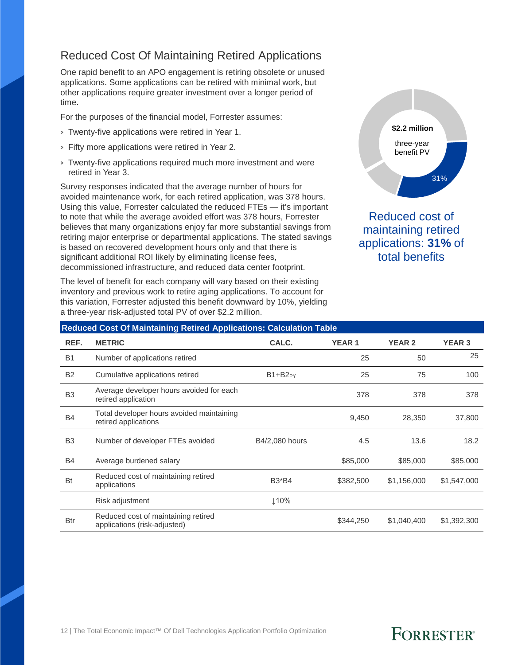### Reduced Cost Of Maintaining Retired Applications

One rapid benefit to an APO engagement is retiring obsolete or unused applications. Some applications can be retired with minimal work, but other applications require greater investment over a longer period of time.

For the purposes of the financial model, Forrester assumes:

- › Twenty-five applications were retired in Year 1.
- › Fifty more applications were retired in Year 2.
- › Twenty-five applications required much more investment and were retired in Year 3.

Survey responses indicated that the average number of hours for avoided maintenance work, for each retired application, was 378 hours. Using this value, Forrester calculated the reduced FTEs — it's important to note that while the average avoided effort was 378 hours, Forrester believes that many organizations enjoy far more substantial savings from retiring major enterprise or departmental applications. The stated savings is based on recovered development hours only and that there is significant additional ROI likely by eliminating license fees, decommissioned infrastructure, and reduced data center footprint.

The level of benefit for each company will vary based on their existing inventory and previous work to retire aging applications. To account for this variation, Forrester adjusted this benefit downward by 10%, yielding a three-year risk-adjusted total PV of over \$2.2 million.



Reduced cost of maintaining retired applications: **31%** of total benefits

| <b>Reduced Cost Of Maintaining Retired Applications: Calculation Table</b> |                                                                     |                       |              |               |               |  |  |  |
|----------------------------------------------------------------------------|---------------------------------------------------------------------|-----------------------|--------------|---------------|---------------|--|--|--|
| REF.                                                                       | <b>METRIC</b>                                                       | CALC.                 | <b>YEAR1</b> | <b>YEAR 2</b> | <b>YEAR 3</b> |  |  |  |
| <b>B1</b>                                                                  | Number of applications retired                                      |                       | 25           | 50            | 25            |  |  |  |
| <b>B2</b>                                                                  | Cumulative applications retired                                     | $B1+B2$ <sub>PY</sub> | 25           | 75            | 100           |  |  |  |
| B <sub>3</sub>                                                             | Average developer hours avoided for each<br>retired application     |                       | 378          | 378           | 378           |  |  |  |
| <b>B4</b>                                                                  | Total developer hours avoided maintaining<br>retired applications   |                       | 9,450        | 28,350        | 37,800        |  |  |  |
| B <sub>3</sub>                                                             | Number of developer FTEs avoided                                    | B4/2,080 hours        | 4.5          | 13.6          | 18.2          |  |  |  |
| <b>B4</b>                                                                  | Average burdened salary                                             |                       | \$85,000     | \$85,000      | \$85,000      |  |  |  |
| <b>Bt</b>                                                                  | Reduced cost of maintaining retired<br>applications                 | <b>B3*B4</b>          | \$382,500    | \$1,156,000   | \$1,547,000   |  |  |  |
|                                                                            | Risk adjustment                                                     | 110%                  |              |               |               |  |  |  |
| <b>Btr</b>                                                                 | Reduced cost of maintaining retired<br>applications (risk-adjusted) |                       | \$344,250    | \$1,040,400   | \$1,392,300   |  |  |  |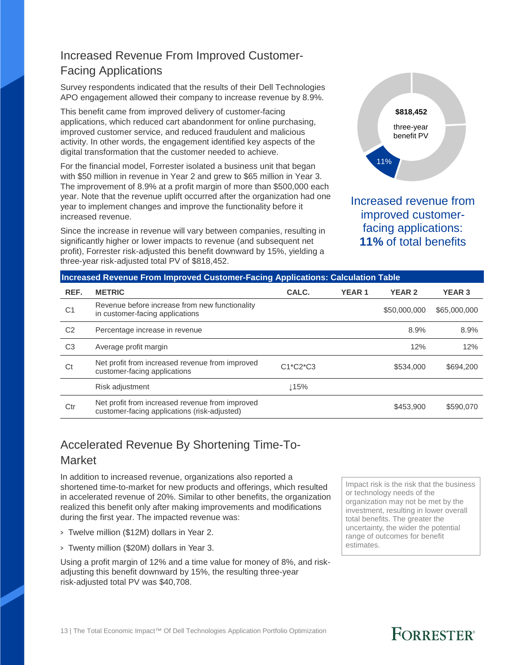### Increased Revenue From Improved Customer-Facing Applications

Survey respondents indicated that the results of their Dell Technologies APO engagement allowed their company to increase revenue by 8.9%.

This benefit came from improved delivery of customer-facing applications, which reduced cart abandonment for online purchasing, improved customer service, and reduced fraudulent and malicious activity. In other words, the engagement identified key aspects of the digital transformation that the customer needed to achieve.

For the financial model, Forrester isolated a business unit that began with \$50 million in revenue in Year 2 and grew to \$65 million in Year 3. The improvement of 8.9% at a profit margin of more than \$500,000 each year. Note that the revenue uplift occurred after the organization had one year to implement changes and improve the functionality before it increased revenue.

Since the increase in revenue will vary between companies, resulting in significantly higher or lower impacts to revenue (and subsequent net profit), Forrester risk-adjusted this benefit downward by 15%, yielding a three-year risk-adjusted total PV of \$818,452.



Increased revenue from improved customerfacing applications: **11%** of total benefits

|                | <b>Increased Revenue From Improved Customer-Facing Applications: Calculation Table</b>          |                  |              |               |               |  |  |  |  |
|----------------|-------------------------------------------------------------------------------------------------|------------------|--------------|---------------|---------------|--|--|--|--|
| REF.           | <b>METRIC</b>                                                                                   | CALC.            | <b>YEAR1</b> | <b>YEAR 2</b> | <b>YEAR 3</b> |  |  |  |  |
| C <sub>1</sub> | Revenue before increase from new functionality<br>in customer-facing applications               |                  |              | \$50,000,000  | \$65,000,000  |  |  |  |  |
| C <sub>2</sub> | Percentage increase in revenue                                                                  |                  |              | 8.9%          | 8.9%          |  |  |  |  |
| C <sub>3</sub> | Average profit margin                                                                           |                  |              | 12%           | 12%           |  |  |  |  |
| Ct             | Net profit from increased revenue from improved<br>customer-facing applications                 | $C1*C2*C3$       |              | \$534,000     | \$694,200     |  |  |  |  |
|                | Risk adjustment                                                                                 | $\downarrow$ 15% |              |               |               |  |  |  |  |
| Ctr            | Net profit from increased revenue from improved<br>customer-facing applications (risk-adjusted) |                  |              | \$453,900     | \$590,070     |  |  |  |  |
|                |                                                                                                 |                  |              |               |               |  |  |  |  |

### Accelerated Revenue By Shortening Time-To-Market

In addition to increased revenue, organizations also reported a shortened time-to-market for new products and offerings, which resulted in accelerated revenue of 20%. Similar to other benefits, the organization realized this benefit only after making improvements and modifications during the first year. The impacted revenue was:

- › Twelve million (\$12M) dollars in Year 2.
- › Twenty million (\$20M) dollars in Year 3.

Using a profit margin of 12% and a time value for money of 8%, and riskadjusting this benefit downward by 15%, the resulting three-year risk-adjusted total PV was \$40,708.

Impact risk is the risk that the business or technology needs of the organization may not be met by the investment, resulting in lower overall total benefits. The greater the uncertainty, the wider the potential range of outcomes for benefit estimates.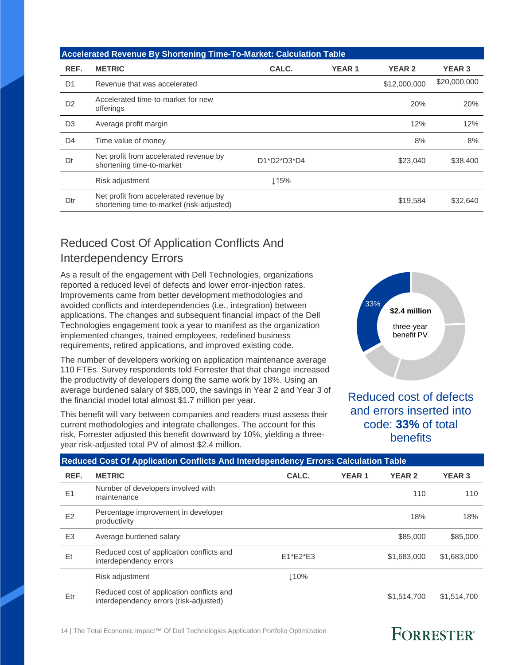|                | <b>Accelerated Revenue By Shortening Time-To-Market: Calculation Table</b>          |             |              |               |               |  |  |  |  |  |
|----------------|-------------------------------------------------------------------------------------|-------------|--------------|---------------|---------------|--|--|--|--|--|
| REF.           | <b>METRIC</b>                                                                       | CALC.       | <b>YEAR1</b> | <b>YEAR 2</b> | <b>YEAR 3</b> |  |  |  |  |  |
| D <sub>1</sub> | Revenue that was accelerated                                                        |             |              | \$12,000,000  | \$20,000,000  |  |  |  |  |  |
| D <sub>2</sub> | Accelerated time-to-market for new<br>offerings                                     |             |              | 20%           | 20%           |  |  |  |  |  |
| D <sub>3</sub> | Average profit margin                                                               |             |              | 12%           | 12%           |  |  |  |  |  |
| D4             | Time value of money                                                                 |             |              | 8%            | 8%            |  |  |  |  |  |
| Dt             | Net profit from accelerated revenue by<br>shortening time-to-market                 | D1*D2*D3*D4 |              | \$23,040      | \$38,400      |  |  |  |  |  |
|                | Risk adjustment                                                                     | 115%        |              |               |               |  |  |  |  |  |
| Dtr            | Net profit from accelerated revenue by<br>shortening time-to-market (risk-adjusted) |             |              | \$19,584      | \$32,640      |  |  |  |  |  |

### Reduced Cost Of Application Conflicts And Interdependency Errors

As a result of the engagement with Dell Technologies, organizations reported a reduced level of defects and lower error-injection rates. Improvements came from better development methodologies and avoided conflicts and interdependencies (i.e., integration) between applications. The changes and subsequent financial impact of the Dell Technologies engagement took a year to manifest as the organization implemented changes, trained employees, redefined business requirements, retired applications, and improved existing code.

The number of developers working on application maintenance average 110 FTEs. Survey respondents told Forrester that that change increased the productivity of developers doing the same work by 18%. Using an average burdened salary of \$85,000, the savings in Year 2 and Year 3 of the financial model total almost \$1.7 million per year.

This benefit will vary between companies and readers must assess their current methodologies and integrate challenges. The account for this risk, Forrester adjusted this benefit downward by 10%, yielding a threeyear risk-adjusted total PV of almost \$2.4 million.



Reduced cost of defects and errors inserted into code: **33%** of total benefits

|                | Reduced Cost Of Application Conflicts And Interdependency Errors: Calculation Table |            |              |               |               |  |  |  |
|----------------|-------------------------------------------------------------------------------------|------------|--------------|---------------|---------------|--|--|--|
| REF.           | <b>METRIC</b>                                                                       | CALC.      | <b>YEAR1</b> | <b>YEAR 2</b> | <b>YEAR 3</b> |  |  |  |
| E <sub>1</sub> | Number of developers involved with<br>maintenance                                   |            |              | 110           | 110           |  |  |  |
| E <sub>2</sub> | Percentage improvement in developer<br>productivity                                 |            |              | 18%           | 18%           |  |  |  |
| E3             | Average burdened salary                                                             |            |              | \$85,000      | \$85,000      |  |  |  |
| Et             | Reduced cost of application conflicts and<br>interdependency errors                 | $E1*E2*E3$ |              | \$1,683,000   | \$1,683,000   |  |  |  |
|                | Risk adjustment                                                                     | 110%       |              |               |               |  |  |  |
| Etr            | Reduced cost of application conflicts and<br>interdependency errors (risk-adjusted) |            |              | \$1,514,700   | \$1,514,700   |  |  |  |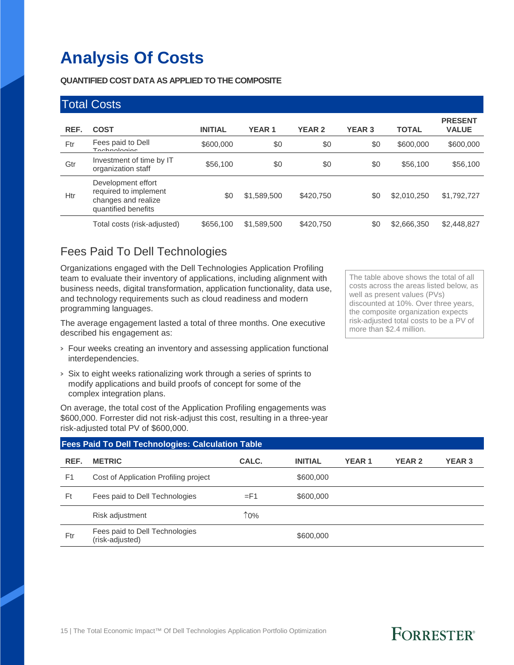## **Analysis Of Costs**

#### **QUANTIFIED COST DATA AS APPLIED TO THE COMPOSITE**

|      | <b>Total Costs</b>                                                                        |                |              |               |               |              |                                |
|------|-------------------------------------------------------------------------------------------|----------------|--------------|---------------|---------------|--------------|--------------------------------|
| REF. | <b>COST</b>                                                                               | <b>INITIAL</b> | <b>YEAR1</b> | <b>YEAR 2</b> | <b>YEAR 3</b> | <b>TOTAL</b> | <b>PRESENT</b><br><b>VALUE</b> |
| Ftr  | Fees paid to Dell<br>Tochnologics                                                         | \$600,000      | \$0          | \$0           | \$0           | \$600,000    | \$600,000                      |
| Gtr  | Investment of time by IT<br>organization staff                                            | \$56,100       | \$0          | \$0           | \$0           | \$56,100     | \$56,100                       |
| Htr  | Development effort<br>required to implement<br>changes and realize<br>quantified benefits | \$0            | \$1,589,500  | \$420.750     | \$0           | \$2,010,250  | \$1,792,727                    |
|      | Total costs (risk-adjusted)                                                               | \$656,100      | \$1,589,500  | \$420.750     | \$0           | \$2,666,350  | \$2,448,827                    |

### Fees Paid To Dell Technologies

Organizations engaged with the Dell Technologies Application Profiling team to evaluate their inventory of applications, including alignment with business needs, digital transformation, application functionality, data use, and technology requirements such as cloud readiness and modern programming languages.

The average engagement lasted a total of three months. One executive described his engagement as:

- › Four weeks creating an inventory and assessing application functional interdependencies.
- › Six to eight weeks rationalizing work through a series of sprints to modify applications and build proofs of concept for some of the complex integration plans.

On average, the total cost of the Application Profiling engagements was \$600,000. Forrester did not risk-adjust this cost, resulting in a three-year risk-adjusted total PV of \$600,000.

The table above shows the total of all costs across the areas listed below, as well as present values (PVs) discounted at 10%. Over three years, the composite organization expects risk-adjusted total costs to be a PV of more than \$2.4 million.

|      | <b>Fees Paid To Dell Technologies: Calculation Table</b> |        |                |              |               |               |  |  |  |
|------|----------------------------------------------------------|--------|----------------|--------------|---------------|---------------|--|--|--|
| REF. | <b>METRIC</b>                                            | CALC.  | <b>INITIAL</b> | <b>YEAR1</b> | <b>YEAR 2</b> | <b>YEAR 3</b> |  |  |  |
| F1   | Cost of Application Profiling project                    |        | \$600,000      |              |               |               |  |  |  |
| Ft   | Fees paid to Dell Technologies                           | $=$ F1 | \$600,000      |              |               |               |  |  |  |
|      | Risk adjustment                                          | ↑0%    |                |              |               |               |  |  |  |
| Ftr  | Fees paid to Dell Technologies<br>(risk-adjusted)        |        | \$600,000      |              |               |               |  |  |  |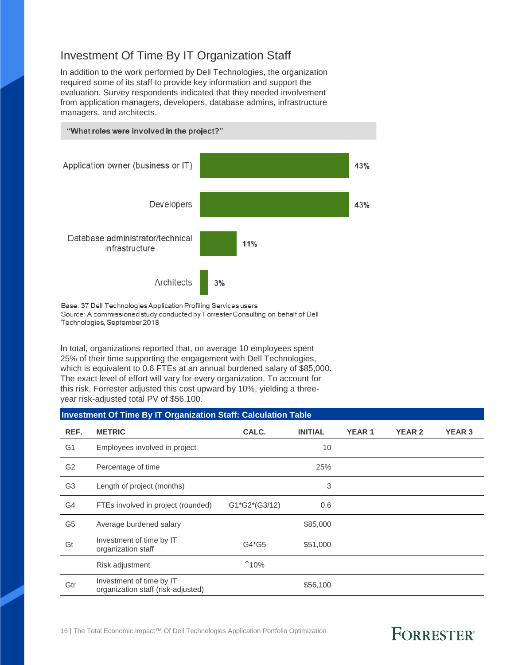### Investment Of Time By IT Organization Staff

In addition to the work performed by Dell Technologies, the organization required some of its staff to provide key information and support the evaluation. Survey respondents indicated that they needed involvement from application managers, developers, database admins, infrastructure managers, and architects.



Base: 37 Dell Technologies Application Profiling Services users Source: A commissioned study conducted by Forrester Consulting on behalf of Dell Technologies, September 2018

In total, organizations reported that, on average 10 employees spent 25% of their time supporting the engagement with Dell Technologies, which is equivalent to 0.6 FTEs at an annual burdened salary of \$85,000. The exact level of effort will vary for every organization. To account for this risk, Forrester adjusted this cost upward by 10%, yielding a threeyear risk-adjusted total PV of \$56,100.

|                | <b>Investment Of Time By IT Organization Staff: Calculation Table</b> |               |                |              |               |               |  |  |  |
|----------------|-----------------------------------------------------------------------|---------------|----------------|--------------|---------------|---------------|--|--|--|
| REF.           | <b>METRIC</b>                                                         | CALC.         | <b>INITIAL</b> | <b>YEAR1</b> | <b>YEAR 2</b> | <b>YEAR 3</b> |  |  |  |
| G <sub>1</sub> | Employees involved in project                                         |               | 10             |              |               |               |  |  |  |
| G <sub>2</sub> | Percentage of time                                                    |               | 25%            |              |               |               |  |  |  |
| G <sub>3</sub> | Length of project (months)                                            |               | 3              |              |               |               |  |  |  |
| G4             | FTEs involved in project (rounded)                                    | G1*G2*(G3/12) | 0.6            |              |               |               |  |  |  |
| G <sub>5</sub> | Average burdened salary                                               |               | \$85,000       |              |               |               |  |  |  |
| Gt             | Investment of time by IT<br>organization staff                        | G4*G5         | \$51,000       |              |               |               |  |  |  |
|                | Risk adjustment                                                       | <b>10%</b>    |                |              |               |               |  |  |  |
| Gtr            | Investment of time by IT<br>organization staff (risk-adjusted)        |               | \$56,100       |              |               |               |  |  |  |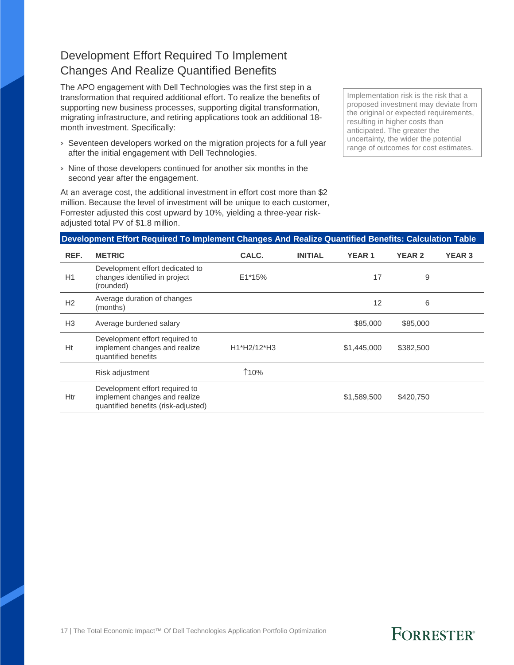### Development Effort Required To Implement Changes And Realize Quantified Benefits

The APO engagement with Dell Technologies was the first step in a transformation that required additional effort. To realize the benefits of supporting new business processes, supporting digital transformation, migrating infrastructure, and retiring applications took an additional 18 month investment. Specifically:

- › Seventeen developers worked on the migration projects for a full year after the initial engagement with Dell Technologies.
- › Nine of those developers continued for another six months in the second year after the engagement.

At an average cost, the additional investment in effort cost more than \$2 million. Because the level of investment will be unique to each customer, Forrester adjusted this cost upward by 10%, yielding a three-year riskadjusted total PV of \$1.8 million.

Implementation risk is the risk that a proposed investment may deviate from the original or expected requirements, resulting in higher costs than anticipated. The greater the uncertainty, the wider the potential range of outcomes for cost estimates.

#### **Development Effort Required To Implement Changes And Realize Quantified Benefits: Calculation Table**

| REF.           | <b>METRIC</b>                                                                                          | CALC.       | <b>INITIAL</b> | <b>YEAR1</b> | <b>YEAR 2</b> | <b>YEAR 3</b> |
|----------------|--------------------------------------------------------------------------------------------------------|-------------|----------------|--------------|---------------|---------------|
| H1             | Development effort dedicated to<br>changes identified in project<br>(rounded)                          | $E1*15%$    |                | 17           | 9             |               |
| H <sub>2</sub> | Average duration of changes<br>(months)                                                                |             |                | 12           | 6             |               |
| H <sub>3</sub> | Average burdened salary                                                                                |             |                | \$85,000     | \$85,000      |               |
| Ht             | Development effort required to<br>implement changes and realize<br>quantified benefits                 | H1*H2/12*H3 |                | \$1,445,000  | \$382,500     |               |
|                | Risk adjustment                                                                                        | ↑10%        |                |              |               |               |
| Htr            | Development effort required to<br>implement changes and realize<br>quantified benefits (risk-adjusted) |             |                | \$1,589,500  | \$420,750     |               |

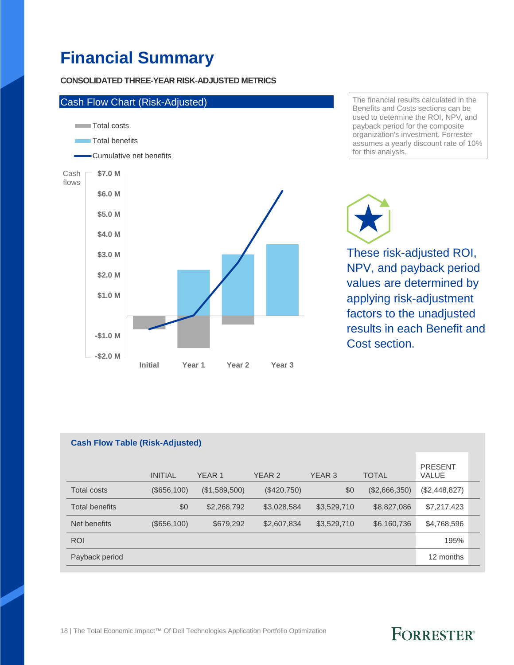## **Financial Summary**

#### **CONSOLIDATED THREE-YEAR RISK-ADJUSTED METRICS**



The financial results calculated in the Benefits and Costs sections can be used to determine the ROI, NPV, and payback period for the composite organization's investment. Forrester assumes a yearly discount rate of 10% for this analysis.

These risk-adjusted ROI, NPV, and payback period values are determined by applying risk-adjustment factors to the unadjusted results in each Benefit and Cost section

| <b>Cash Flow Table (Risk-Adjusted)</b> |                |                   |                   |                   |               |                                |  |
|----------------------------------------|----------------|-------------------|-------------------|-------------------|---------------|--------------------------------|--|
|                                        | <b>INITIAL</b> | YEAR <sub>1</sub> | YEAR <sub>2</sub> | YEAR <sub>3</sub> | <b>TOTAL</b>  | <b>PRESENT</b><br><b>VALUE</b> |  |
| <b>Total costs</b>                     | (\$656,100)    | (\$1,589,500)     | (\$420,750)       | \$0               | (\$2,666,350) | (\$2,448,827)                  |  |
| <b>Total benefits</b>                  | \$0            | \$2,268,792       | \$3,028,584       | \$3,529,710       | \$8,827,086   | \$7,217,423                    |  |
| Net benefits                           | (\$656,100)    | \$679,292         | \$2,607,834       | \$3,529,710       | \$6,160,736   | \$4,768,596                    |  |
| <b>ROI</b>                             |                |                   |                   |                   |               | 195%                           |  |
| Payback period                         |                |                   |                   |                   |               | 12 months                      |  |

#### **FORRESTER®** 18 | The Total Economic Impact™ Of Dell Technologies Application Portfolio Optimization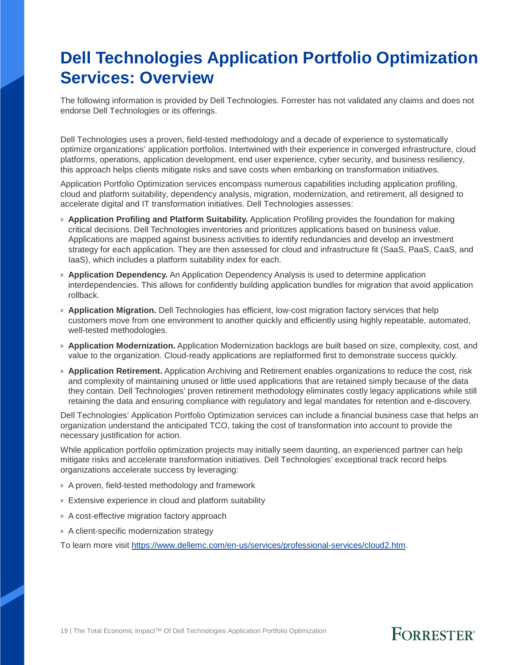## **Dell Technologies Application Portfolio Optimization Services: Overview**

The following information is provided by Dell Technologies. Forrester has not validated any claims and does not endorse Dell Technologies or its offerings.

Dell Technologies uses a proven, field-tested methodology and a decade of experience to systematically optimize organizations' application portfolios. Intertwined with their experience in converged infrastructure, cloud platforms, operations, application development, end user experience, cyber security, and business resiliency, this approach helps clients mitigate risks and save costs when embarking on transformation initiatives.

Application Portfolio Optimization services encompass numerous capabilities including application profiling, cloud and platform suitability, dependency analysis, migration, modernization, and retirement, all designed to accelerate digital and IT transformation initiatives. Dell Technologies assesses:

- › **Application Profiling and Platform Suitability.** Application Profiling provides the foundation for making critical decisions. Dell Technologies inventories and prioritizes applications based on business value. Applications are mapped against business activities to identify redundancies and develop an investment strategy for each application. They are then assessed for cloud and infrastructure fit (SaaS, PaaS, CaaS, and IaaS), which includes a platform suitability index for each.
- › **Application Dependency.** An Application Dependency Analysis is used to determine application interdependencies. This allows for confidently building application bundles for migration that avoid application rollback.
- › **Application Migration.** Dell Technologies has efficient, low-cost migration factory services that help customers move from one environment to another quickly and efficiently using highly repeatable, automated, well-tested methodologies.
- › **Application Modernization.** Application Modernization backlogs are built based on size, complexity, cost, and value to the organization. Cloud-ready applications are replatformed first to demonstrate success quickly.
- › **Application Retirement.** Application Archiving and Retirement enables organizations to reduce the cost, risk and complexity of maintaining unused or little used applications that are retained simply because of the data they contain. Dell Technologies' proven retirement methodology eliminates costly legacy applications while still retaining the data and ensuring compliance with regulatory and legal mandates for retention and e-discovery.

Dell Technologies' Application Portfolio Optimization services can include a financial business case that helps an organization understand the anticipated TCO, taking the cost of transformation into account to provide the necessary justification for action.

**FORRESTER®** 

While application portfolio optimization projects may initially seem daunting, an experienced partner can help mitigate risks and accelerate transformation initiatives. Dell Technologies' exceptional track record helps organizations accelerate success by leveraging:

- › A proven, field-tested methodology and framework
- › Extensive experience in cloud and platform suitability
- › A cost-effective migration factory approach
- › A client-specific modernization strategy

To learn more visit [https://www.dellemc.com/en-us/services/professional-services/cloud2.htm.](https://www.dellemc.com/en-us/services/professional-services/cloud2.htm)